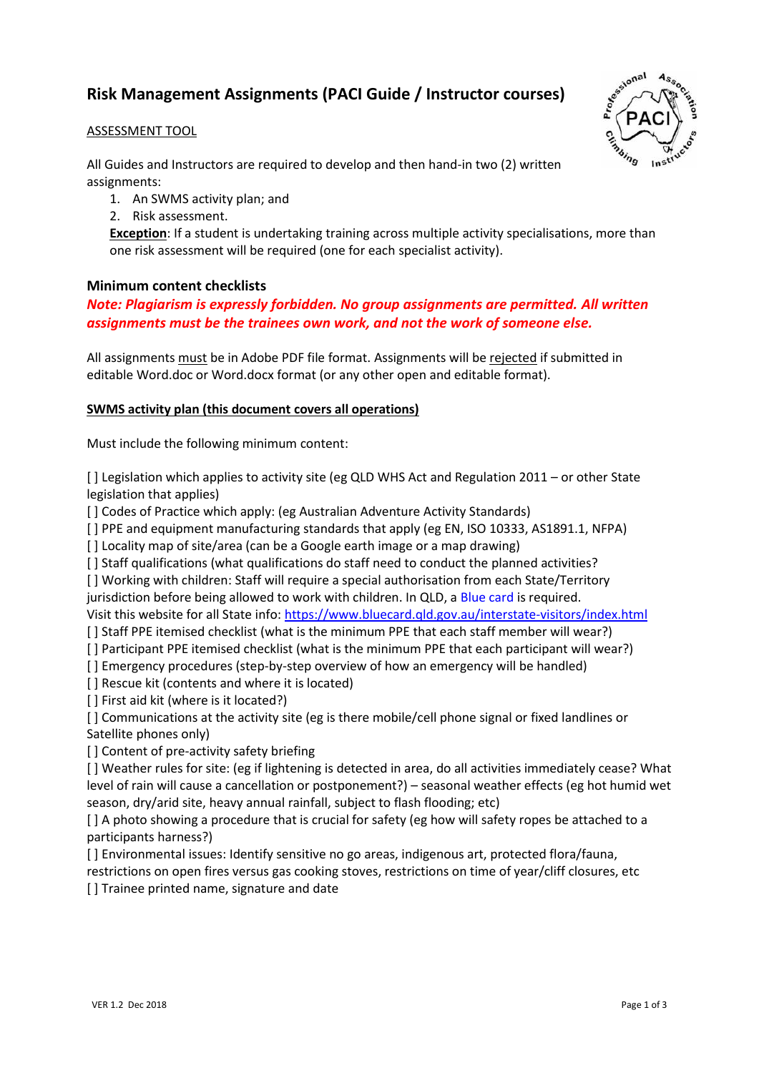# **Risk Management Assignments (PACI Guide / Instructor courses)**

## ASSESSMENT TOOL

All Guides and Instructors are required to develop and then hand-in two (2) written assignments:

- 1. An SWMS activity plan; and
- 2. Risk assessment.

**Exception**: If a student is undertaking training across multiple activity specialisations, more than one risk assessment will be required (one for each specialist activity).

## **Minimum content checklists**

# *Note: Plagiarism is expressly forbidden. No group assignments are permitted. All written assignments must be the trainees own work, and not the work of someone else.*

All assignments must be in Adobe PDF file format. Assignments will be rejected if submitted in editable Word.doc or Word.docx format (or any other open and editable format).

## **SWMS activity plan (this document covers all operations)**

Must include the following minimum content:

[ ] Legislation which applies to activity site (eg QLD WHS Act and Regulation 2011 – or other State legislation that applies)

[] Codes of Practice which apply: (eg Australian Adventure Activity Standards)

[ ] PPE and equipment manufacturing standards that apply (eg EN, ISO 10333, AS1891.1, NFPA)

[] Locality map of site/area (can be a Google earth image or a map drawing)

[] Staff qualifications (what qualifications do staff need to conduct the planned activities?

[ ] Working with children: Staff will require a special authorisation from each State/Territory jurisdiction before being allowed to work with children. In QLD, a Blue card is required. Visit this website for all State info:<https://www.bluecard.qld.gov.au/interstate-visitors/index.html>

[ ] Staff PPE itemised checklist (what is the minimum PPE that each staff member will wear?)

[] Participant PPE itemised checklist (what is the minimum PPE that each participant will wear?)

[ ] Emergency procedures (step-by-step overview of how an emergency will be handled)

[ ] Rescue kit (contents and where it is located)

[ ] First aid kit (where is it located?)

[] Communications at the activity site (eg is there mobile/cell phone signal or fixed landlines or Satellite phones only)

[] Content of pre-activity safety briefing

[ ] Weather rules for site: (eg if lightening is detected in area, do all activities immediately cease? What level of rain will cause a cancellation or postponement?) – seasonal weather effects (eg hot humid wet season, dry/arid site, heavy annual rainfall, subject to flash flooding; etc)

[] A photo showing a procedure that is crucial for safety (eg how will safety ropes be attached to a participants harness?)

[ ] Environmental issues: Identify sensitive no go areas, indigenous art, protected flora/fauna,

restrictions on open fires versus gas cooking stoves, restrictions on time of year/cliff closures, etc [] Trainee printed name, signature and date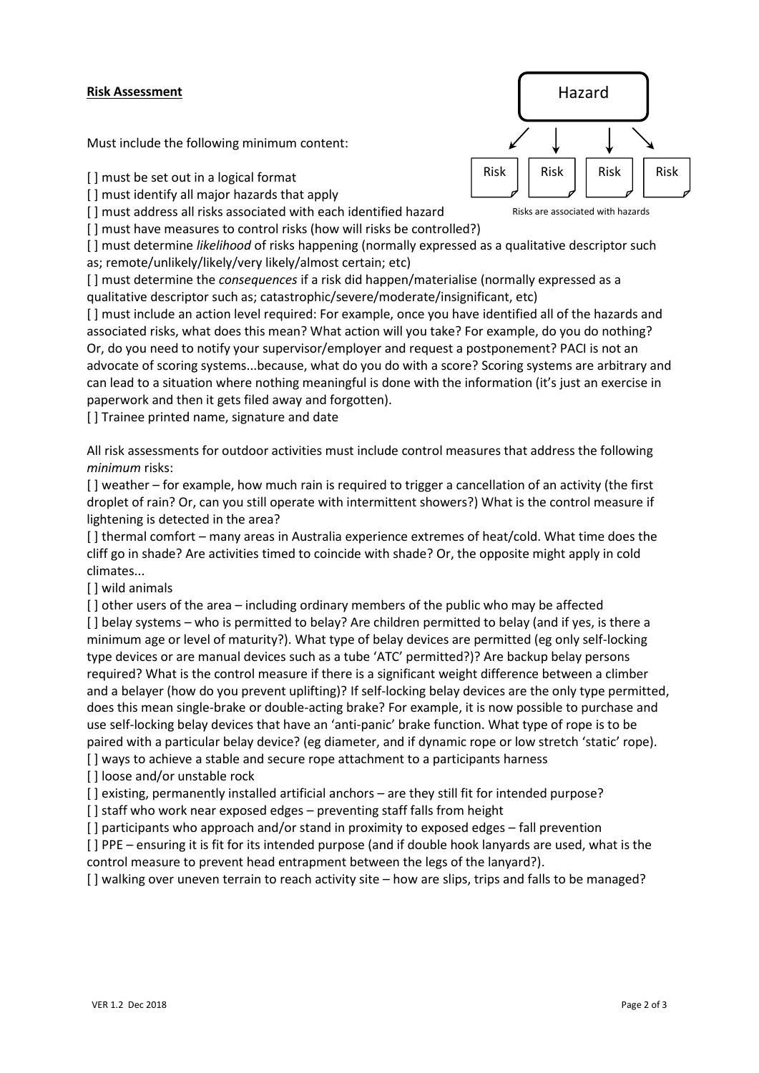## **Risk Assessment**

Must include the following minimum content:

[] must be set out in a logical format

[] must identify all major hazards that apply

[] must address all risks associated with each identified hazard

[ ] must have measures to control risks (how will risks be controlled?)

[ ] must determine *likelihood* of risks happening (normally expressed as a qualitative descriptor such as; remote/unlikely/likely/very likely/almost certain; etc)

[ ] must determine the *consequences* if a risk did happen/materialise (normally expressed as a qualitative descriptor such as; catastrophic/severe/moderate/insignificant, etc)

[ ] must include an action level required: For example, once you have identified all of the hazards and associated risks, what does this mean? What action will you take? For example, do you do nothing? Or, do you need to notify your supervisor/employer and request a postponement? PACI is not an advocate of scoring systems...because, what do you do with a score? Scoring systems are arbitrary and can lead to a situation where nothing meaningful is done with the information (it's just an exercise in paperwork and then it gets filed away and forgotten).

[] Trainee printed name, signature and date

All risk assessments for outdoor activities must include control measures that address the following *minimum* risks:

[ ] weather – for example, how much rain is required to trigger a cancellation of an activity (the first droplet of rain? Or, can you still operate with intermittent showers?) What is the control measure if lightening is detected in the area?

[ ] thermal comfort – many areas in Australia experience extremes of heat/cold. What time does the cliff go in shade? Are activities timed to coincide with shade? Or, the opposite might apply in cold climates...

[] wild animals

[] other users of the area – including ordinary members of the public who may be affected

[] belay systems – who is permitted to belay? Are children permitted to belay (and if yes, is there a minimum age or level of maturity?). What type of belay devices are permitted (eg only self-locking type devices or are manual devices such as a tube 'ATC' permitted?)? Are backup belay persons required? What is the control measure if there is a significant weight difference between a climber and a belayer (how do you prevent uplifting)? If self-locking belay devices are the only type permitted, does this mean single-brake or double-acting brake? For example, it is now possible to purchase and use self-locking belay devices that have an 'anti-panic' brake function. What type of rope is to be paired with a particular belay device? (eg diameter, and if dynamic rope or low stretch 'static' rope).

[] ways to achieve a stable and secure rope attachment to a participants harness

[] loose and/or unstable rock

[] existing, permanently installed artificial anchors – are they still fit for intended purpose?

[ ] staff who work near exposed edges – preventing staff falls from height

[ ] participants who approach and/or stand in proximity to exposed edges – fall prevention

[ ] PPE – ensuring it is fit for its intended purpose (and if double hook lanyards are used, what is the control measure to prevent head entrapment between the legs of the lanyard?).

[] walking over uneven terrain to reach activity site – how are slips, trips and falls to be managed?



Risks are associated with hazards